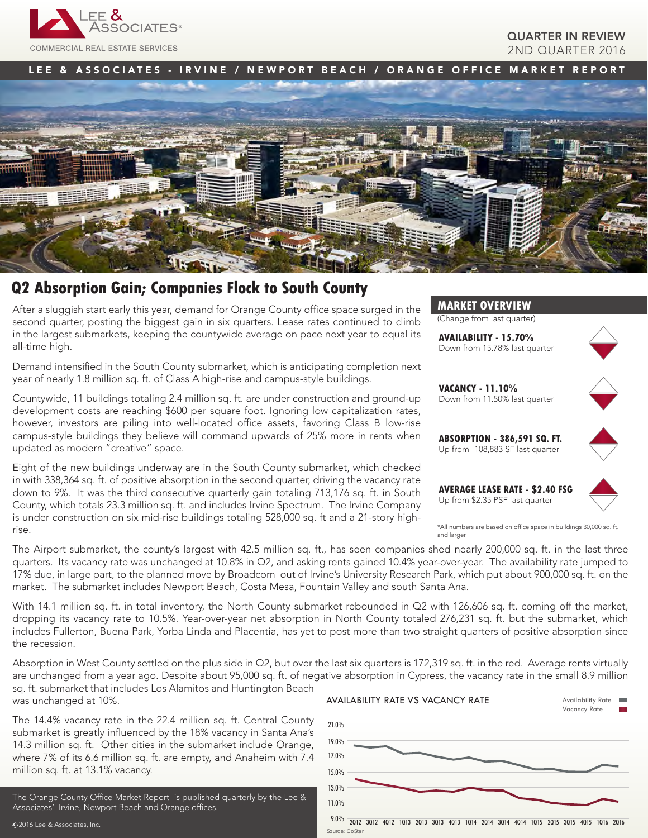

## QUARTER IN REVIEW 2ND QUARTER 2016

LEE & ASSOCIATES - IRVINE / NEWPORT BEACH / ORANGE OFFICE MARKET REPORT



# **Q2 Absorption Gain; Companies Flock to South County**

After a sluggish start early this year, demand for Orange County office space surged in the second quarter, posting the biggest gain in six quarters. Lease rates continued to climb in the largest submarkets, keeping the countywide average on pace next year to equal its all-time high.

Demand intensified in the South County submarket, which is anticipating completion next year of nearly 1.8 million sq. ft. of Class A high-rise and campus-style buildings.

Countywide, 11 buildings totaling 2.4 million sq. ft. are under construction and ground-up development costs are reaching \$600 per square foot. Ignoring low capitalization rates, however, investors are piling into well-located office assets, favoring Class B low-rise campus-style buildings they believe will command upwards of 25% more in rents when updated as modern "creative" space.

Eight of the new buildings underway are in the South County submarket, which checked in with 338,364 sq. ft. of positive absorption in the second quarter, driving the vacancy rate down to 9%. It was the third consecutive quarterly gain totaling 713,176 sq. ft. in South County, which totals 23.3 million sq. ft. and includes Irvine Spectrum. The Irvine Company is under construction on six mid-rise buildings totaling 528,000 sq. ft and a 21-story highrise.



(Change from last quarter)

**AVAILABILITY - 15.70%** Down from 15.78% last quarter



**VACANCY - 11.10%** Down from 11.50% last quarter



**ABSORPTION - 386,591 SQ. FT.** Up from -108,883 SF last quarter

**AVERAGE LEASE RATE - \$2.40 FSG** Up from \$2.35 PSF last quarter



\*All numbers are based on office space in buildings 30,000 sq. ft. and larger

The Airport submarket, the county's largest with 42.5 million sq. ft., has seen companies shed nearly 200,000 sq. ft. in the last three quarters. Its vacancy rate was unchanged at 10.8% in Q2, and asking rents gained 10.4% year-over-year. The availability rate jumped to 17% due, in large part, to the planned move by Broadcom out of Irvine's University Research Park, which put about 900,000 sq. ft. on the market. The submarket includes Newport Beach, Costa Mesa, Fountain Valley and south Santa Ana.

With 14.1 million sq. ft. in total inventory, the North County submarket rebounded in Q2 with 126,606 sq. ft. coming off the market, dropping its vacancy rate to 10.5%. Year-over-year net absorption in North County totaled 276,231 sq. ft. but the submarket, which includes Fullerton, Buena Park, Yorba Linda and Placentia, has yet to post more than two straight quarters of positive absorption since the recession.

Absorption in West County settled on the plus side in Q2, but over the last six quarters is 172,319 sq. ft. in the red. Average rents virtually are unchanged from a year ago. Despite about 95,000 sq. ft. of negative absorption in Cypress, the vacancy rate in the small 8.9 million sq. ft. submarket that includes Los Alamitos and Huntington Beach was unchanged at 10%. AVAILABILITY RATE VS VACANCY RATE Availability Rate

The 14.4% vacancy rate in the 22.4 million sq. ft. Central County submarket is greatly influenced by the 18% vacancy in Santa Ana's 14.3 million sq. ft. Other cities in the submarket include Orange, where 7% of its 6.6 million sq. ft. are empty, and Anaheim with 7.4 million sq. ft. at 13.1% vacancy.

The Orange County Office Market Report is published quarterly by the Lee & Associates' Irvine, Newport Beach and Orange offices.



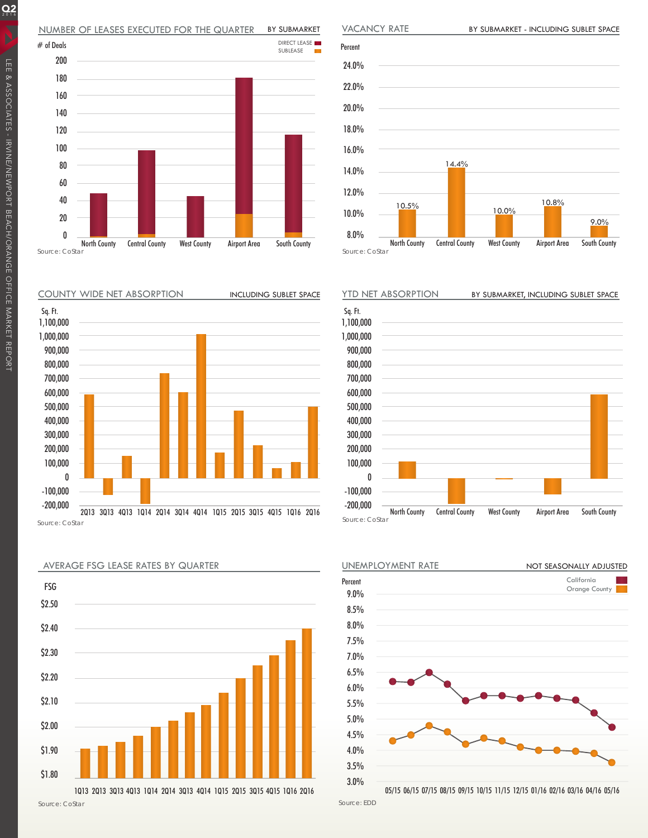#### NUMBER OF LEASES EXECUTED FOR THE QUARTER BY SUBMARKET









AVERAGE FSG LEASE RATES BY QUARTER

1Q13 2Q13 3Q13 4Q13 1Q14 2Q14 3Q13 4Q14 1Q15 2Q15 3Q15 4Q15 1Q16 2Q16







05/15 06/15 07/15 08/15 09/15 10/15 11/15 12/15 01/16 02/16 03/16 04/16 05/16

Source: EDD

 $Q_2$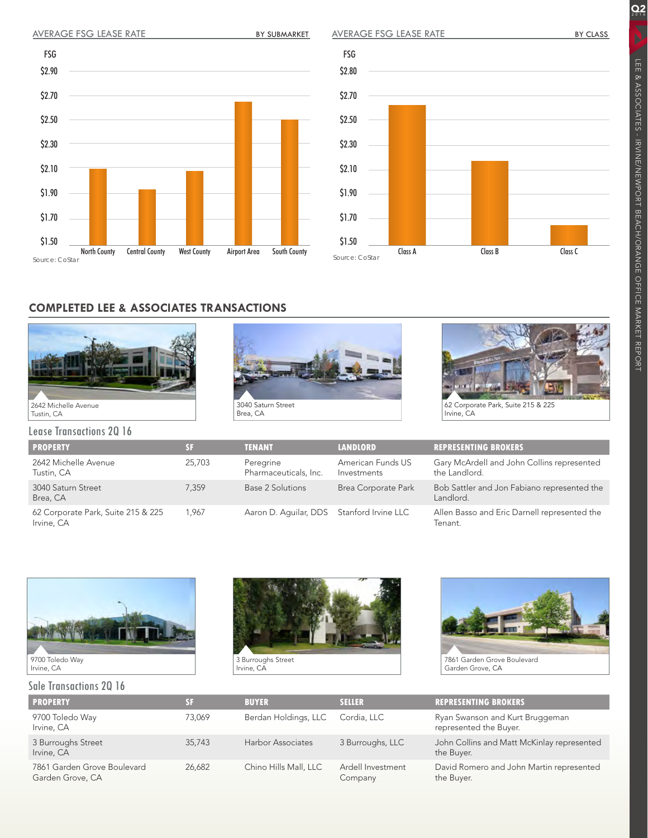## AVERAGE FSG LEASE RATE BY SUBMARKET

AVERAGE FSG LEASE RATE

 $Q_2$ 





## **COMPLETED LEE & ASSOCIATES TRANSACTIONS**







62 Corporate Park, Suite 215 & 225 Irvine, CA

Lease Transactions 2Q 16

| <b>PROPERTY</b>                                  |        | <b>TENANT</b>                             | <b>LANDLORD</b>                  | <b>REPRESENTING BROKERS</b>                                 |
|--------------------------------------------------|--------|-------------------------------------------|----------------------------------|-------------------------------------------------------------|
| 2642 Michelle Avenue<br>Tustin, CA               | 25,703 | Peregrine<br>Pharmaceuticals, Inc.        | American Funds US<br>Investments | Gary McArdell and John Collins represented<br>the Landlord. |
| 3040 Saturn Street<br>Brea, CA                   | 7.359  | Base 2 Solutions                          | Brea Corporate Park              | Bob Sattler and Jon Fabiano represented the<br>Landlord.    |
| 62 Corporate Park, Suite 215 & 225<br>Irvine, CA | 1.967  | Aaron D. Aquilar, DDS Stanford Irvine LLC |                                  | Allen Basso and Eric Darnell represented the<br>Tenant.     |



#### Sale Transactions 2Q 16



3 Burroughs Street Irvine, CA



Garden Grove, CA

| <b>PROPERTY</b>                                 | SF.    | <b>BUYER</b>          | <b>SELLER</b>                | <b>REPRESENTING BROKERS</b>                               |
|-------------------------------------------------|--------|-----------------------|------------------------------|-----------------------------------------------------------|
| 9700 Toledo Way<br>Irvine, CA                   | 73.069 | Berdan Holdings, LLC  | Cordia, LLC                  | Ryan Swanson and Kurt Bruggeman<br>represented the Buyer. |
| 3 Burroughs Street<br>Irvine, CA                | 35,743 | Harbor Associates     | 3 Burroughs, LLC             | John Collins and Matt McKinlay represented<br>the Buyer.  |
| 7861 Garden Grove Boulevard<br>Garden Grove, CA | 26.682 | Chino Hills Mall, LLC | Ardell Investment<br>Company | David Romero and John Martin represented<br>the Buyer.    |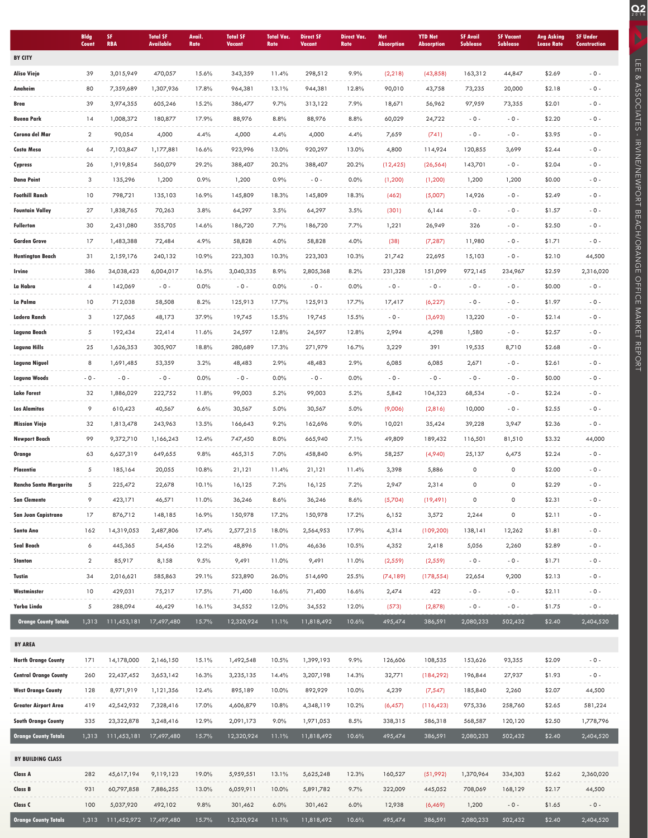|                              | <b>Bldg</b><br>Count | SF<br><b>RBA</b> | <b>Total SF</b><br><b>Available</b> | Avail.<br>Rate | <b>Total SF</b><br>Vacant | <b>Total Vac.</b><br>Rate | <b>Direct SF</b><br><b>Vacant</b> | <b>Direct Vac.</b><br>Rate | <b>Net</b><br><b>Absorption</b> | <b>YTD Net</b><br><b>Absorption</b> | <b>SF Avail</b><br><b>Sublease</b> | <b>SF Vacant</b><br><b>Sublease</b> | <b>Avg Asking</b><br><b>Lease Rate</b> | <b>SF Under</b><br><b>Construction</b> |
|------------------------------|----------------------|------------------|-------------------------------------|----------------|---------------------------|---------------------------|-----------------------------------|----------------------------|---------------------------------|-------------------------------------|------------------------------------|-------------------------------------|----------------------------------------|----------------------------------------|
| <b>BY CITY</b>               |                      |                  |                                     |                |                           |                           |                                   |                            |                                 |                                     |                                    |                                     |                                        |                                        |
| <b>Aliso Viejo</b>           | 39                   | 3,015,949        | 470,057                             | 15.6%          | 343,359                   | 11.4%                     | 298,512                           | 9.9%                       | (2, 218)                        | (43, 858)                           | 163,312                            | 44,847                              | \$2.69                                 | $-0-$                                  |
| Anaheim                      | 80                   | 7,359,689        | 1,307,936                           | 17.8%          | 964,381                   | 13.1%                     | 944,381                           | 12.8%                      | 90,010                          | 43,758                              | 73,235                             | 20,000                              | \$2.18                                 | $-0 -$                                 |
| Brea                         | 39                   | 3,974,355        | 605,246                             | 15.2%          | 386,477                   | 9.7%                      | 313,122                           | 7.9%                       | 18,671                          | 56,962                              | 97,959                             | 73,355                              | \$2.01                                 | $-0 -$                                 |
| <b>Buena Park</b>            | 14                   | 1,008,372        | 180,877                             | 17.9%          | 88,976                    | 8.8%                      | 88,976                            | 8.8%                       | 60,029                          | 24,722                              | $-0 -$                             | $-0 -$                              | \$2.20                                 | $-0 -$                                 |
| Corona del Mar               | $\overline{2}$       | 90,054           | 4,000                               | 4.4%           | 4,000                     | 4.4%                      | 4,000                             | 4.4%                       | 7,659                           | (741)                               | $-0 -$                             | $-0 -$                              | \$3.95                                 | $-0 -$                                 |
| Costa Mesa                   | 64                   | 7,103,847        | 1,177,881                           | 16.6%          | 923,996                   | 13.0%                     | 920,297                           | 13.0%                      | 4,800                           | 114,924                             | 120,855                            | 3,699                               | \$2.44                                 | $-0 -$                                 |
| Cypress                      | 26                   | 1,919,854        | 560,079                             | 29.2%          | 388,407                   | 20.2%                     | 388,407                           | 20.2%                      | (12, 425)                       | (26, 564)                           | 143,701                            | $-0 -$                              | \$2.04                                 | $-0 -$                                 |
| <b>Dana Point</b>            | 3                    | 135,296          | 1,200                               | 0.9%           | 1,200                     | 0.9%                      | $-0 -$                            | 0.0%                       | (1, 200)                        | (1, 200)                            | 1,200                              | 1,200                               | \$0.00                                 | $-0 -$                                 |
| <b>Foothill Ranch</b>        | 10                   | 798,721          | 135,103                             | 16.9%          | 145,809                   | 18.3%                     | 145,809                           | 18.3%                      | (462)                           | (5,007)                             | 14,926                             | $-0 -$                              | \$2.49                                 | $-0-$                                  |
| <b>Fountain Valley</b>       | 27                   | 1,838,765        | 70,263                              | 3.8%           | 64,297                    | 3.5%                      | 64,297                            | 3.5%                       | (301)                           | 6,144                               | $-0 -$                             | $-0 -$                              | \$1.57                                 | $-0 -$                                 |
| Fullerton                    | 30                   | 2,431,080        | 355,705                             | 14.6%          | 186,720                   | 7.7%                      | 186,720                           | 7.7%                       | 1,221                           | 26,949                              | 326                                | $-0 -$                              | \$2.50                                 | $-0 -$                                 |
| Garden Grove                 | 17                   | 1,483,388        | 72,484                              | 4.9%           | 58,828                    | 4.0%                      | 58,828                            | 4.0%                       | (38)                            | (7, 287)                            | 11,980                             | $-0 -$                              | \$1.71                                 | $-0 -$                                 |
| Huntington Beach             | 31                   | 2,159,176        | 240,132                             | 10.9%          | 223,303                   | 10.3%                     | 223,303                           | 10.3%                      | 21,742                          | 22,695                              | 15,103                             | $-0 -$                              | \$2.10                                 | 44,500                                 |
| Irvine                       | 386                  | 34,038,423       | 6,004,017                           | 16.5%          | 3,040,335                 | 8.9%                      | 2,805,368                         | 8.2%                       | 231,328                         | 151,099                             | 972,145                            | 234,967                             | \$2.59                                 | 2,316,020                              |
| La Habra                     | 4                    | 142,069          | $-0 -$                              | 0.0%           | $-0 -$                    | 0.0%                      | $-0 -$                            | 0.0%                       | $-0 -$                          | $-0 -$                              | $-0 -$                             | $-0 -$                              | \$0.00                                 | $-0 -$                                 |
| La Palma                     | 10                   | 712,038          | 58,508                              | 8.2%           | 125,913                   | 17.7%                     | 125,913                           | 17.7%                      | 17,417                          | (6, 227)                            | $-0 -$                             | $-0 -$                              | \$1.97                                 | $-0 -$                                 |
| Ladera Ranch                 | 3                    | 127,065          | 48,173                              | 37.9%          | 19,745                    | 15.5%                     | 19,745                            | 15.5%                      | $-0 -$                          | (3,693)                             | 13,220                             | $-0 -$                              | \$2.14                                 | $-0 -$                                 |
| Laguna Beach                 | 5                    | 192,434          | 22,414                              | 11.6%          | 24,597                    | 12.8%                     | 24,597                            | 12.8%                      | 2,994                           | 4,298                               | 1,580                              | $-0 -$                              | \$2.57                                 | $-0 -$                                 |
| Laguna Hills                 | 25                   | 1,626,353        | 305,907                             | 18.8%          | 280,689                   | 17.3%                     | 271,979                           | 16.7%                      | 3,229                           | 391                                 | 19,535                             | 8,710                               | \$2.68                                 | $-0 -$                                 |
| Laguna Niguel                | 8                    | 1,691,485        | 53,359                              | 3.2%           | 48,483                    | 2.9%                      | 48,483                            | 2.9%                       | 6,085                           | 6,085                               | 2,671                              | $-0 -$                              | \$2.61                                 | $-0 -$                                 |
| Laguna Woods                 | $-0 -$               | $-0 -$           | $-0 -$                              | 0.0%           | $-0 -$                    | 0.0%                      | $-0 -$                            | 0.0%                       | $-0 -$                          | $-0 -$                              | $-0 -$                             | $-0 -$                              | \$0.00                                 | $-0 -$                                 |
| <b>Lake Forest</b>           | 32                   | 1,886,029        | 222,752                             | 11.8%          | 99,003                    | 5.2%                      | 99,003                            | 5.2%                       | 5,842                           | 104,323                             | 68,534                             | $-0 -$                              | \$2.24                                 | $-0 -$                                 |
| <b>Los Alamitos</b>          | 9                    | 610,423          | 40,567                              | 6.6%           | 30,567                    | 5.0%                      | 30,567                            | 5.0%                       | (9,006)                         | (2,816)                             | 10,000                             | $-0 -$                              | \$2.55                                 | $-0 -$                                 |
| <b>Mission Viejo</b>         | 32                   | 1,813,478        | 243,963                             | 13.5%          | 166,643                   | 9.2%                      | 162,696                           | 9.0%                       | 10,021                          | 35,424                              | 39,228                             | 3,947                               | \$2.36                                 | $-0 -$                                 |
| <b>Newport Beach</b>         | 99                   | 9,372,710        | 1,166,243                           | 12.4%          | 747,450                   | 8.0%                      | 665,940                           | 7.1%                       | 49,809                          | 189,432                             | 116,501                            | 81,510                              | \$3.32                                 | 44,000                                 |
| Orange                       | 63                   | 6,627,319        | 649,655                             | 9.8%           | 465,315                   | 7.0%                      | 458,840                           | 6.9%                       | 58,257                          | (4,940)                             | 25,137                             | 6,475                               | \$2.24                                 | $-0 -$                                 |
| Placentia                    | 5                    | 185,164          | 20,055                              | 10.8%          | 21,121                    | 11.4%                     | 21,121                            | 11.4%                      | 3,398                           | 5,886                               | 0                                  | $\mathsf{O}\xspace$                 | \$2.00                                 | $-0 -$                                 |
| Rancho Santa Margarita       | 5                    | 225,472          | 22,678                              | 10.1%          | 16,125                    | 7.2%                      | 16,125                            | 7.2%                       | 2,947                           | 2,314                               | 0                                  | $\mathsf{O}\xspace$                 | \$2.29                                 | $-0 -$                                 |
| <b>San Clemente</b>          | $\circ$              | 423,171          | 46,571                              | 11.0%          | 36,246                    | 8.6%                      | 36,246                            | 8.6%                       | (5,704)                         | (19, 491)                           | $\Omega$                           | $\circ$                             | \$2.31                                 | $-0-$                                  |
| San Juan Capistrano          | 17                   | 876,712          | 148,185                             | 16.9%          | 150,978                   | 17.2%                     | 150,978                           | 17.2%                      | 6,152                           | 3,572                               | 2,244                              | 0                                   | \$2.11                                 | $-0 -$                                 |
| Santa Ana                    | 162                  | 14,319,053       | 2,487,806                           | 17.4%          | 2,577,215                 | 18.0%                     | 2,564,953                         | 17.9%                      | 4,314                           | (109, 200)                          | 138,141                            | 12,262                              | \$1.81                                 | $-0 -$                                 |
| Seal Beach                   | 6                    | 445,365          | 54,456                              | 12.2%          | 48,896                    | 11.0%                     | 46,636                            | 10.5%                      | 4,352                           | 2,418                               | 5,056                              | 2,260                               | \$2.89                                 | $-0-$                                  |
| Stanton                      | $\overline{a}$       | 85,917           | 8,158                               | 9.5%           | 9,491                     | 11.0%                     | 9,491                             | 11.0%                      | (2, 559)                        | (2, 559)                            | $-0-$                              | $-0 -$                              | \$1.71                                 | $-0 -$                                 |
| Tustin                       | 34                   | 2,016,621        | 585,863                             | 29.1%          | 523,890                   | 26.0%                     | 514,690                           | 25.5%                      | (74, 189)                       | (178, 554)                          | 22,654                             | 9,200                               | \$2.13                                 | $-0 -$                                 |
| Westminster                  | 10                   | 429,031          | 75,217                              | 17.5%          | 71,400                    | 16.6%                     | 71,400                            | 16.6%                      | 2,474                           | 422                                 | $-0 -$                             | $-0 -$                              | \$2.11                                 | $-0 -$                                 |
| Yorba Linda                  | 5                    | 288,094          | 46,429                              | 16.1%          | 34,552                    | 12.0%                     | 34,552                            | 12.0%                      | (573)                           | (2,878)                             | $-0-$                              | $-0 -$                              | \$1.75                                 | $-0-$                                  |
| <b>Orange County Totals</b>  | 1,313                | 111,453,181      | 17,497,480                          | 15.7%          | 12,320,924                | 11.1%                     | 11,818,492                        | 10.6%                      | 495,474                         | 386,591                             | 2,080,233                          | 502,432                             | \$2.40                                 | 2,404,520                              |
| <b>BY AREA</b>               |                      |                  |                                     |                |                           |                           |                                   |                            |                                 |                                     |                                    |                                     |                                        |                                        |
| <b>North Orange County</b>   | 171                  | 14,178,000       | 2,146,150                           | 15.1%          | 1,492,548                 | 10.5%                     | 1,399,193                         | 9.9%                       | 126,606                         | 108,535                             | 153,626                            | 93,355                              | \$2.09                                 | $-0-$                                  |
| <b>Central Orange County</b> | 260                  | 22,437,452       | 3,653,142                           | 16.3%          | 3,235,135                 | 14.4%                     | 3,207,198                         | 14.3%                      | 32,771                          | (184, 292)                          | 196,844                            | 27,937                              | \$1.93                                 | $-0 -$                                 |
| <b>West Orange County</b>    | 128                  | 8,971,919        | 1,121,356                           | 12.4%          | 895,189                   | 10.0%                     | 892,929                           | 10.0%                      | 4,239                           | (7, 547)                            | 185,840                            | 2,260                               | \$2.07                                 | 44,500                                 |
| Greater Airport Area         | 419                  | 42,542,932       | 7,328,416                           | 17.0%          | 4,606,879                 | 10.8%                     | 4,348,119                         | 10.2%                      | (6, 457)                        | (116, 423)                          | 975,336                            | 258,760                             | \$2.65                                 | 581,224                                |
| <b>South Orange County</b>   | 335                  | 23,322,878       | 3,248,416                           | 12.9%          | 2,091,173                 | 9.0%                      | 1,971,053                         | 8.5%                       | 338,315                         | 586,318                             | 568,587                            | 120,120                             | \$2.50                                 | 1,778,796                              |
| <b>Orange County Totals</b>  | 1,313                | 111,453,181      | 17,497,480                          | 15.7%          | 12,320,924                | 11.1%                     | 11,818,492                        | 10.6%                      | 495,474                         | 386,591                             | 2,080,233                          | 502,432                             | \$2.40                                 | 2,404,520                              |
|                              |                      |                  |                                     |                |                           |                           |                                   |                            |                                 |                                     |                                    |                                     |                                        |                                        |
| BY BUILDING CLASS            |                      |                  |                                     |                |                           |                           |                                   |                            |                                 |                                     |                                    |                                     |                                        |                                        |
| Class A                      | 282                  | 45,617,194       | 9,119,123                           | 19.0%          | 5,959,551                 | 13.1%                     | 5,625,248                         | 12.3%                      | 160,527                         | (51, 992)                           | 1,370,964                          | 334,303                             | \$2.62                                 | 2,360,020                              |
| Class B                      | 931                  | 60,797,858       | 7,886,255                           | 13.0%          | 6,059,911                 | 10.0%                     | 5,891,782                         | 9.7%                       | 322,009                         | 445,052                             | 708,069                            | 168,129                             | \$2.17                                 | 44,500                                 |
| Class C                      | 100                  | 5,037,920        | 492,102                             | 9.8%           | 301,462                   | 6.0%                      | 301,462                           | 6.0%                       | 12,938                          | (6, 469)                            | 1,200                              | $-0 -$                              | \$1.65                                 | $-0 -$                                 |
| <b>Orange County Totals</b>  | 1,313                | 111,452,972      | 17,497,480                          | 15.7%          | 12,320,924                | 11.1%                     | 11,818,492                        | 10.6%                      | 495,474                         | 386,591                             | 2,080,233                          | 502,432                             | \$2.40                                 | 2,404,520                              |